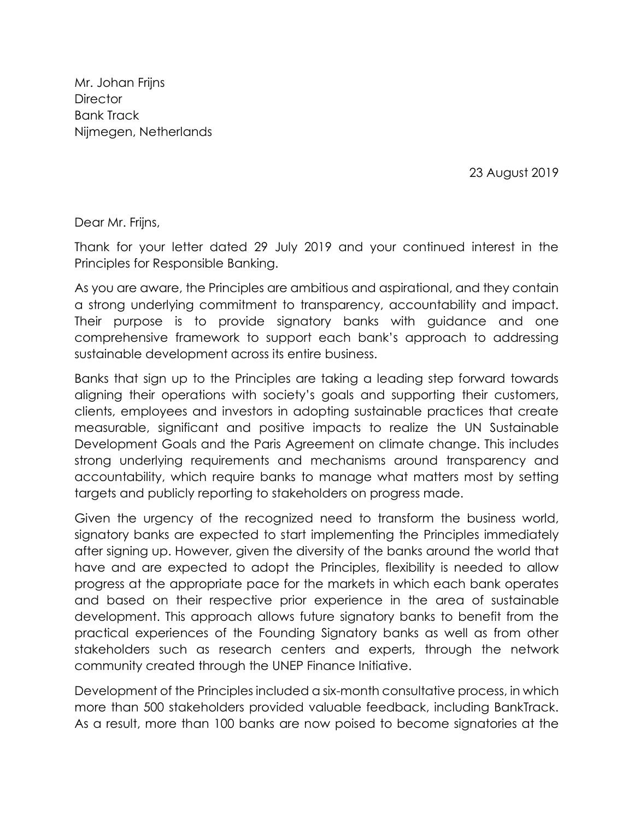Mr. Johan Frijns **Director** Bank Track [Nijmegen, Netherlands](https://www.google.com/search?q=Nijmegen&stick=H4sIAAAAAAAAAOPgE-LSz9U3MDMzNMouV-LWT9c3NDLINbQsTtEyyii30k_Oz8lJTS7JzM_Tzy9KT8zLrEoEcYqtMlITUwpLE4tKUouKFXLyk8HCi1g5_DKzclPTU_MAw5b4QloAAAA&sa=X&ved=2ahUKEwiP0Ouz3ZjkAhVN6qQKHaUjDZYQmxMoATAWegQICxAL)

23 August 2019

Dear Mr. Frijns,

Thank for your letter dated 29 July 2019 and your continued interest in the Principles for Responsible Banking.

As you are aware, the Principles are ambitious and aspirational, and they contain a strong underlying commitment to transparency, accountability and impact. Their purpose is to provide signatory banks with guidance and one comprehensive framework to support each bank's approach to addressing sustainable development across its entire business.

Banks that sign up to the Principles are taking a leading step forward towards aligning their operations with society's goals and supporting their customers, clients, employees and investors in adopting sustainable practices that create measurable, significant and positive impacts to realize the UN Sustainable Development Goals and the Paris Agreement on climate change. This includes strong underlying requirements and mechanisms around transparency and accountability, which require banks to manage what matters most by setting targets and publicly reporting to stakeholders on progress made.

Given the urgency of the recognized need to transform the business world, signatory banks are expected to start implementing the Principles immediately after signing up. However, given the diversity of the banks around the world that have and are expected to adopt the Principles, flexibility is needed to allow progress at the appropriate pace for the markets in which each bank operates and based on their respective prior experience in the area of sustainable development. This approach allows future signatory banks to benefit from the practical experiences of the Founding Signatory banks as well as from other stakeholders such as research centers and experts, through the network community created through the UNEP Finance Initiative.

Development of the Principles included a six-month consultative process, in which more than 500 stakeholders provided valuable feedback, including BankTrack. As a result, more than 100 banks are now poised to become signatories at the